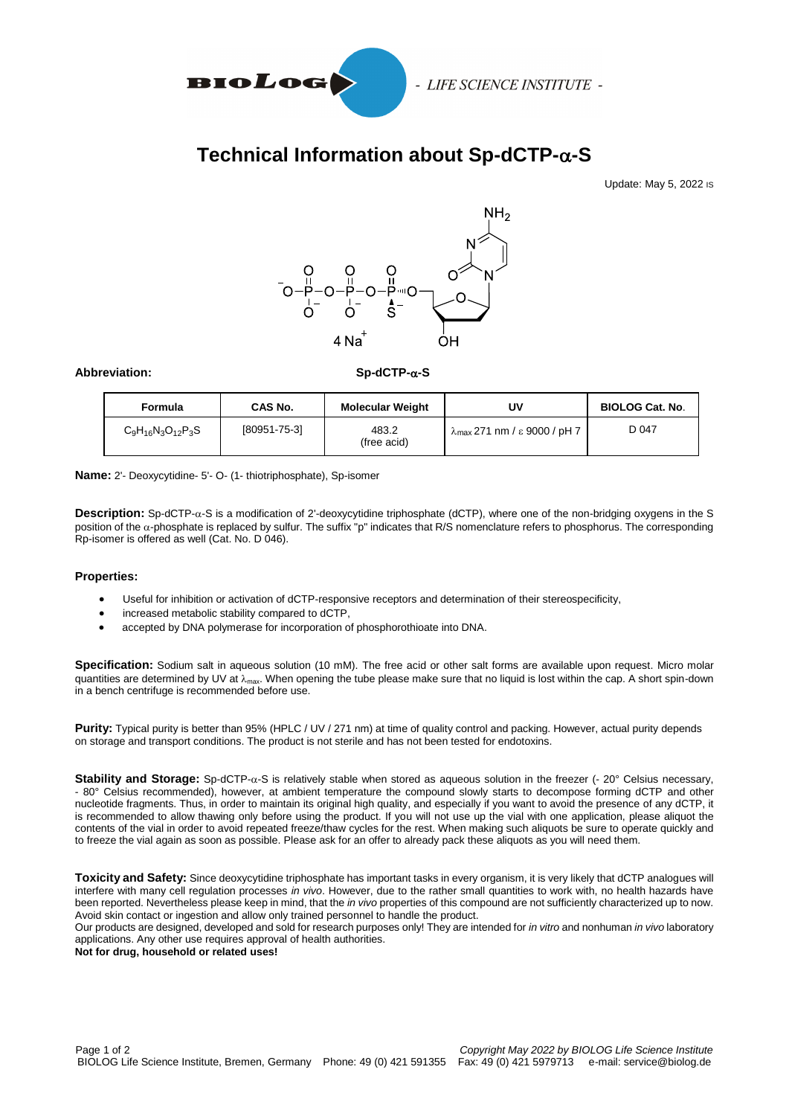

# **Technical Information about Sp-dCTP--S**

Update: May 5, 2022 IS



**Abbreviation: Sp-dCTP--S**

| Formula                  | CAS No.      | <b>Molecular Weight</b> | U٧                                            | <b>BIOLOG Cat. No.</b> |
|--------------------------|--------------|-------------------------|-----------------------------------------------|------------------------|
| $C_9H_{16}N_3O_{12}P_3S$ | [80951-75-3] | 483.2<br>(free acid)    | $\lambda_{\text{max}}$ 271 nm / ε 9000 / pH 7 | D 047                  |

**Name:** 2'- Deoxycytidine- 5'- O- (1- thiotriphosphate), Sp-isomer

**Description:** Sp-dCTP-α-S is a modification of 2'-deoxycytidine triphosphate (dCTP), where one of the non-bridging oxygens in the S position of the  $\alpha$ -phosphate is replaced by sulfur. The suffix "p" indicates that R/S nomenclature refers to phosphorus. The corresponding Rp-isomer is offered as well (Cat. No. D 046).

### **Properties:**

- Useful for inhibition or activation of dCTP-responsive receptors and determination of their stereospecificity,
- increased metabolic stability compared to dCTP,
- accepted by DNA polymerase for incorporation of phosphorothioate into DNA.

**Specification:** Sodium salt in aqueous solution (10 mM). The free acid or other salt forms are available upon request. Micro molar quantities are determined by UV at  $\lambda_{\text{max}}$ . When opening the tube please make sure that no liquid is lost within the cap. A short spin-down in a bench centrifuge is recommended before use.

**Purity:** Typical purity is better than 95% (HPLC / UV / 271 nm) at time of quality control and packing. However, actual purity depends on storage and transport conditions. The product is not sterile and has not been tested for endotoxins.

Stability and Storage: Sp-dCTP- $\alpha$ -S is relatively stable when stored as aqueous solution in the freezer (- 20° Celsius necessary, - 80° Celsius recommended), however, at ambient temperature the compound slowly starts to decompose forming dCTP and other nucleotide fragments. Thus, in order to maintain its original high quality, and especially if you want to avoid the presence of any dCTP, it is recommended to allow thawing only before using the product. If you will not use up the vial with one application, please aliquot the contents of the vial in order to avoid repeated freeze/thaw cycles for the rest. When making such aliquots be sure to operate quickly and to freeze the vial again as soon as possible. Please ask for an offer to already pack these aliquots as you will need them.

**Toxicity and Safety:** Since deoxycytidine triphosphate has important tasks in every organism, it is very likely that dCTP analogues will interfere with many cell regulation processes *in vivo*. However, due to the rather small quantities to work with, no health hazards have been reported. Nevertheless please keep in mind, that the *in vivo* properties of this compound are not sufficiently characterized up to now. Avoid skin contact or ingestion and allow only trained personnel to handle the product.

Our products are designed, developed and sold for research purposes only! They are intended for *in vitro* and nonhuman *in vivo* laboratory applications. Any other use requires approval of health authorities.

**Not for drug, household or related uses!**